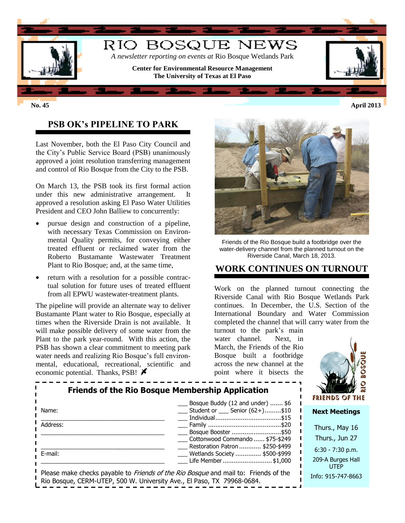

## **PSB OK's PIPELINE TO PARK**

Last November, both the El Paso City Council and the City's Public Service Board (PSB) unanimously approved a joint resolution transferring management and control of Rio Bosque from the City to the PSB.

On March 13, the PSB took its first formal action under this new administrative arrangement. It approved a resolution asking El Paso Water Utilities President and CEO John Balliew to concurrently:

- pursue design and construction of a pipeline, with necessary Texas Commission on Environmental Quality permits, for conveying either treated effluent or reclaimed water from the Roberto Bustamante Wastewater Treatment Plant to Rio Bosque; and, at the same time,
- return with a resolution for a possible contractual solution for future uses of treated effluent from all EPWU wastewater-treatment plants.

The pipeline will provide an alternate way to deliver Bustamante Plant water to Rio Bosque, especially at times when the Riverside Drain is not available. It will make possible delivery of some water from the Plant to the park year-round. With this action, the PSB has shown a clear commitment to meeting park water needs and realizing Rio Bosque's full environmental, educational, recreational, scientific and economic potential. Thanks, PSB!  $\blacktriangleright$ 



Friends of the Rio Bosque build a footbridge over the water-delivery channel from the planned turnout on the Riverside Canal, March 18, 2013.

#### **WORK CONTINUES ON TURNOUT**

Work on the planned turnout connecting the Riverside Canal with Rio Bosque Wetlands Park continues. In December, the U.S. Section of the International Boundary and Water Commission completed the channel that will carry water from the

turnout to the park's main water channel. Next, in March, the Friends of the Rio Bosque built a footbridge across the new channel at the point where it bisects the



| <b>Friends of the Rio Bosque Membership Application</b> | dW<br><b>FRIENDS OF THE</b>                                                                                                                                          |                                  |
|---------------------------------------------------------|----------------------------------------------------------------------------------------------------------------------------------------------------------------------|----------------------------------|
| Name:                                                   | Bosque Buddy (12 and under)  \$6<br>$\frac{1}{10}$ Student or $\frac{1}{10}$ Senior (62+)\$10                                                                        | <b>Next Meetings</b>             |
| Address:                                                | ___ Family ……………………………………\$20<br>Bosque Booster \$50                                                                                                                 | Thurs., May 16                   |
|                                                         | Cottonwood Commando  \$75-\$249                                                                                                                                      | Thurs., Jun 27                   |
| E-mail:                                                 | Restoration Patron  \$250-\$499<br>__ Wetlands Society  \$500-\$999                                                                                                  | $6:30 - 7:30$ p.m.               |
|                                                         | Life Member \$1,000                                                                                                                                                  | 209-A Burges Hall<br><b>UTFP</b> |
|                                                         | Please make checks payable to <i>Friends of the Rio Bosque</i> and mail to: Friends of the<br>Rio Bosque, CERM-UTEP, 500 W. University Ave., El Paso, TX 79968-0684. | Info: 915-747-8663               |

**No. 45 April 2013**